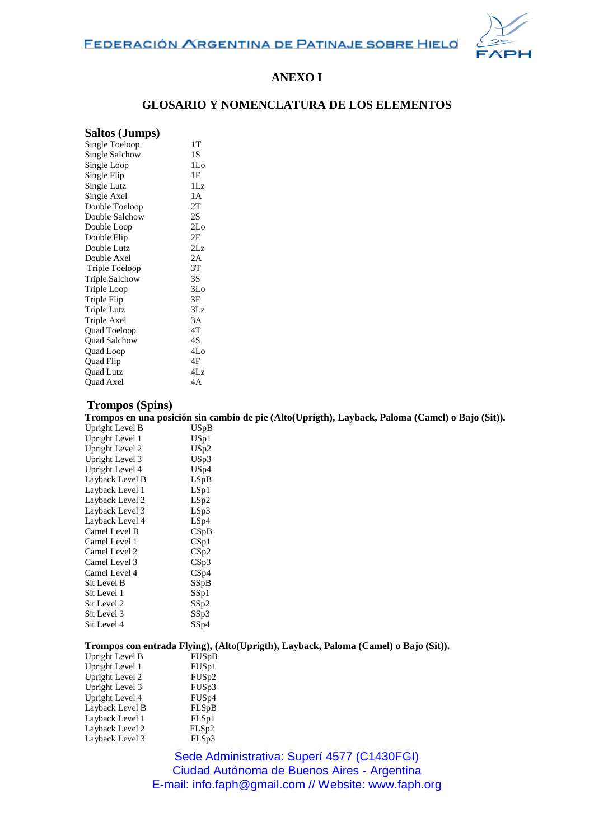

# **ANEXO I**

## **GLOSARIO Y NOMENCLATURA DE LOS ELEMENTOS**

## **Saltos (Jumps)**

| Single Toeloop        | 1T              |
|-----------------------|-----------------|
| Single Salchow        | 1S              |
| Single Loop           | 1Lo             |
| Single Flip           | 1F              |
| Single Lutz           | 1Lz             |
| Single Axel           | 1А              |
| Double Toeloop        | 2T              |
| Double Salchow        | 2S              |
| Double Loop           | 2 <sub>Lo</sub> |
| Double Flip           | 2F              |
| Double Lutz           | 2Lz             |
| Double Axel           | 2A              |
| Triple Toeloop        | 3T              |
| <b>Triple Salchow</b> | 3S              |
| Triple Loop           | 3Lo             |
| Triple Flip           | 3Ε              |
| Triple Lutz           | 3Lz             |
| Triple Axel           | 3A              |
| Quad Toeloop          | 4T              |
| Quad Salchow          | 4S              |
| Quad Loop             | 4Lo             |
| Quad Flip             | 4F              |
| <b>Ouad Lutz</b>      | 4Lz             |
| Quad Axel             | 4A              |

### **Trompos (Spins)**

**Trompos en una posición sin cambio de pie (Alto(Uprigth), Layback, Paloma (Camel) o Bajo (Sit)).**

| Upright Level B | USpB |
|-----------------|------|
| Upright Level 1 | USp1 |
| Upright Level 2 | USp2 |
| Upright Level 3 | USp3 |
| Upright Level 4 | USp4 |
| Layback Level B | LSpB |
| Layback Level 1 | LSp1 |
| Layback Level 2 | LSp2 |
| Layback Level 3 | LSp3 |
| Layback Level 4 | LSp4 |
| Camel Level B   | CSpB |
| Camel Level 1   | CSp1 |
| Camel Level 2   | CSp2 |
| Camel Level 3   | CSp3 |
| Camel Level 4   | CSp4 |
| Sit Level B     | SSpB |
| Sit Level 1     | SSp1 |
| Sit Level 2     | SSp2 |
| Sit Level 3     | SSp3 |
| Sit Level 4     | SSp4 |
|                 |      |

### **Trompos con entrada Flying), (Alto(Uprigth), Layback, Paloma (Camel) o Bajo (Sit)).**

| Upright Level B | FUSpB              |
|-----------------|--------------------|
| Upright Level 1 | FUS <sub>p1</sub>  |
| Upright Level 2 | FUS <sub>p2</sub>  |
| Upright Level 3 | FUS <sub>p</sub> 3 |
| Upright Level 4 | FUS <sub>p4</sub>  |
| Layback Level B | FLSpB              |
| Layback Level 1 | FLSp1              |
| Layback Level 2 | FLSp2              |
| Layback Level 3 | FLSp3              |

Sede Administrativa: Superí 4577 (C1430FGI) Ciudad Autónoma de Buenos Aires - Argentina E-mail: info.faph@gmail.com // Website: www.faph.org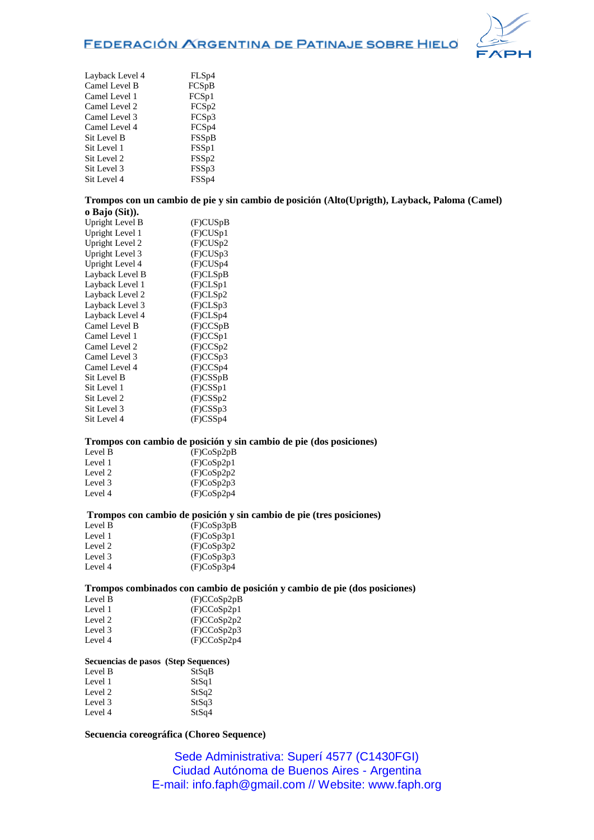# FEDERACIÓN ARGENTINA DE PATINAJE SOBRE HIELO



| FLS <sub>p4</sub> |
|-------------------|
| FCS <sub>pB</sub> |
| FCS <sub>p1</sub> |
| FCS <sub>p2</sub> |
| FCSp3             |
| FCS <sub>p4</sub> |
| <b>FSSpB</b>      |
| FSS <sub>p1</sub> |
| FSS <sub>p2</sub> |
| FSS <sub>p3</sub> |
| FSS <sub>p4</sub> |
|                   |

#### **Trompos con un cambio de pie y sin cambio de posición (Alto(Uprigth), Layback, Paloma (Camel) o Bajo (Sit)).**

| $\mathbf{U}$ Daju (DRT). |             |
|--------------------------|-------------|
| Upright Level B          | (F)CUSpB    |
| Upright Level 1          | (F)CUSp1    |
| Upright Level 2          | (F)CUSp2    |
| Upright Level 3          | (F)CUSp3    |
| Upright Level 4          | (F)CUSp4    |
| Layback Level B          | (F)CLSpB    |
| Layback Level 1          | (F)CLSp1    |
| Layback Level 2          | (F)CLSp2    |
| Layback Level 3          | (F)CLSp3    |
| Layback Level 4          | (F)CLSp4    |
| Camel Level B            | (F)CCSpB    |
| Camel Level 1            | (F)CCSp1    |
| Camel Level 2            | (F)CCSp2    |
| Camel Level 3            | (F)CCSp3    |
| Camel Level 4            | (F)CCSp4    |
| Sit Level B              | $(F)$ CSSpB |
| Sit Level 1              | $(F)$ CSSp1 |
| Sit Level 2              | $(F)$ CSSp2 |
| Sit Level 3              | $(F)$ CSSp3 |
| Sit Level 4              | $(F)$ CSSp4 |
|                          |             |

#### **Trompos con cambio de posición y sin cambio de pie (dos posiciones)**

| Level B | (F)CoSp2pB |
|---------|------------|
| Level 1 | (F)CoSp2p1 |
| Level 2 | (F)CoSp2p2 |
| Level 3 | (F)CoSp2p3 |
| Level 4 | (F)CoSp2p4 |
|         |            |

### **Trompos con cambio de posición y sin cambio de pie (tres posiciones)**

| Level B | (F)CoSp3pB |
|---------|------------|
| Level 1 | (F)CoSp3p1 |
| Level 2 | (F)CoSp3p2 |
| Level 3 | (F)CoSp3p3 |
| Level 4 | (F)CoSp3p4 |
|         |            |

### **Trompos combinados con cambio de posición y cambio de pie (dos posiciones)**

| Level B | (F)CCoSp2pB |
|---------|-------------|
| Level 1 | (F)CCoSp2p1 |
| Level 2 | (F)CCoSp2p2 |
| Level 3 | (F)CCoSp2p3 |
| Level 4 | (F)CCoSp2p4 |

### **Secuencias de pasos (Step Sequences)**

| Level B | StSqB |
|---------|-------|
| Level 1 | StSq1 |
| Level 2 | StSq2 |
| Level 3 | StSq3 |
| Level 4 | StSq4 |

### **Secuencia coreográfica (Choreo Sequence)**

Sede Administrativa: Superí 4577 (C1430FGI) Ciudad Autónoma de Buenos Aires - Argentina E-mail: info.faph@gmail.com // Website: www.faph.org